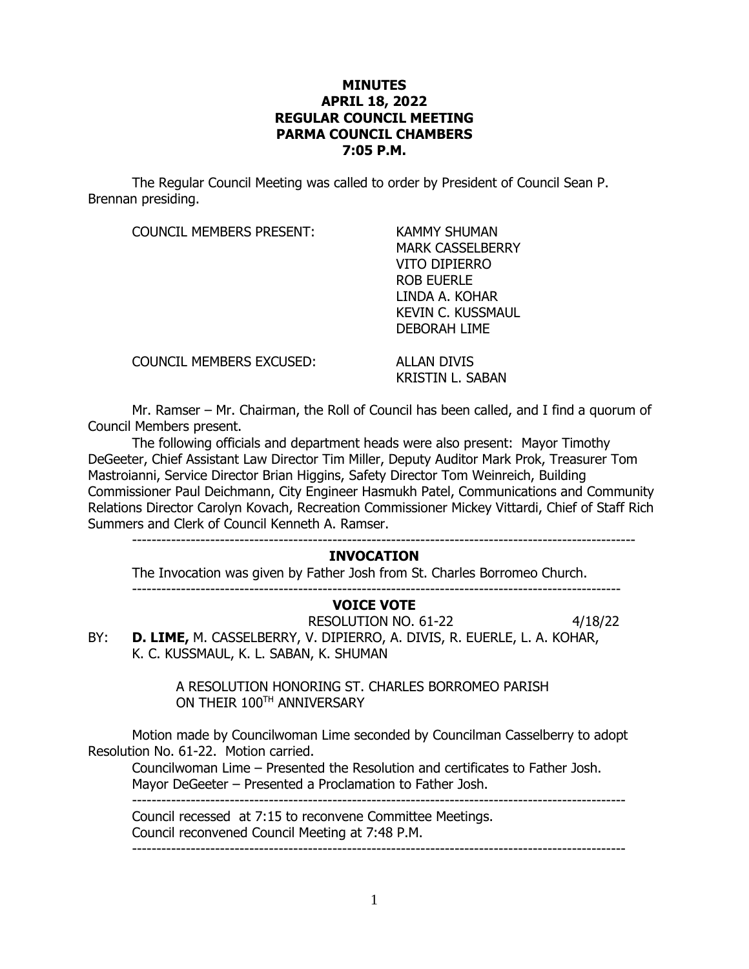## **MINUTES APRIL 18, 2022 REGULAR COUNCIL MEETING PARMA COUNCIL CHAMBERS 7:05 P.M.**

The Regular Council Meeting was called to order by President of Council Sean P. Brennan presiding.

COUNCIL MEMBERS PRESENT: KAMMY SHUMAN

MARK CASSELBERRY VITO DIPIERRO ROB EUERLE LINDA A. KOHAR KEVIN C. KUSSMAUL DEBORAH LIME

COUNCIL MEMBERS EXCUSED: ALLAN DIVIS

KRISTIN L. SABAN

Mr. Ramser – Mr. Chairman, the Roll of Council has been called, and I find a quorum of Council Members present.

The following officials and department heads were also present: Mayor Timothy DeGeeter, Chief Assistant Law Director Tim Miller, Deputy Auditor Mark Prok, Treasurer Tom Mastroianni, Service Director Brian Higgins, Safety Director Tom Weinreich, Building Commissioner Paul Deichmann, City Engineer Hasmukh Patel, Communications and Community Relations Director Carolyn Kovach, Recreation Commissioner Mickey Vittardi, Chief of Staff Rich Summers and Clerk of Council Kenneth A. Ramser.

#### -------------------------------------------------------------------------------------------------------

### **INVOCATION**

The Invocation was given by Father Josh from St. Charles Borromeo Church.

# **VOICE VOTE**

RESOLUTION NO. 61-22 4/18/22 BY: **D. LIME,** M. CASSELBERRY, V. DIPIERRO, A. DIVIS, R. EUERLE, L. A. KOHAR, K. C. KUSSMAUL, K. L. SABAN, K. SHUMAN

----------------------------------------------------------------------------------------------------

A RESOLUTION HONORING ST. CHARLES BORROMEO PARISH ON THEIR  $100^{\text{\tiny{TH}}}$  anniversary

Motion made by Councilwoman Lime seconded by Councilman Casselberry to adopt Resolution No. 61-22. Motion carried.

Councilwoman Lime – Presented the Resolution and certificates to Father Josh. Mayor DeGeeter – Presented a Proclamation to Father Josh. -----------------------------------------------------------------------------------------------------

Council recessed at 7:15 to reconvene Committee Meetings. Council reconvened Council Meeting at 7:48 P.M. -----------------------------------------------------------------------------------------------------

1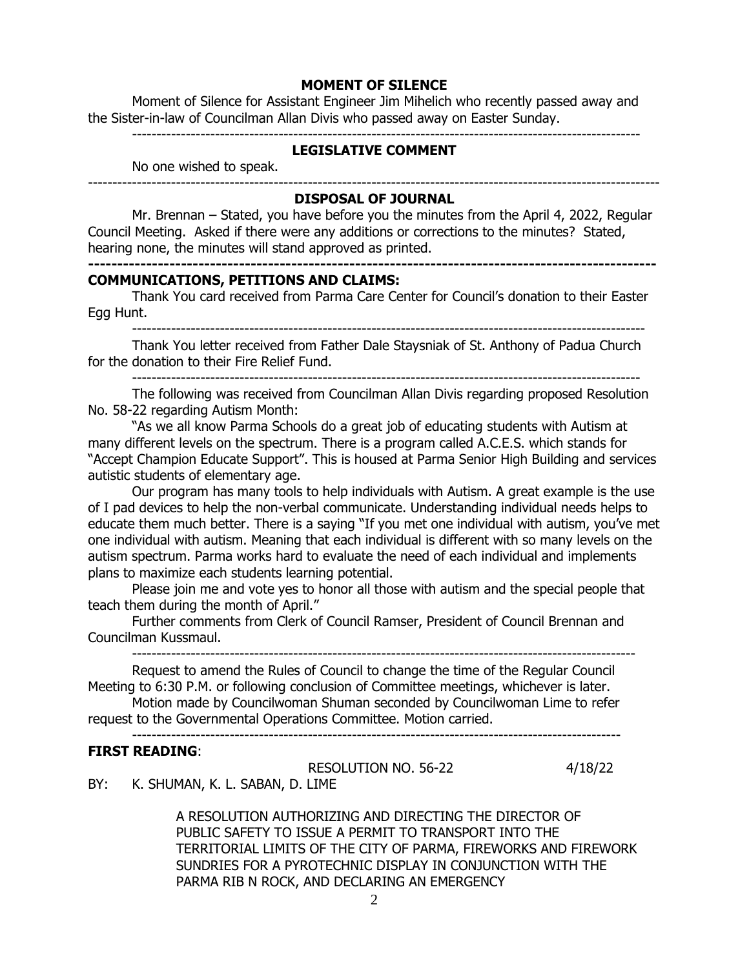### **MOMENT OF SILENCE**

Moment of Silence for Assistant Engineer Jim Mihelich who recently passed away and the Sister-in-law of Councilman Allan Divis who passed away on Easter Sunday.

--------------------------------------------------------------------------------------------------------

# **LEGISLATIVE COMMENT**

No one wished to speak.

### --------------------------------------------------------------------------------------------------------------------- **DISPOSAL OF JOURNAL**

Mr. Brennan – Stated, you have before you the minutes from the April 4, 2022, Regular Council Meeting. Asked if there were any additions or corrections to the minutes? Stated, hearing none, the minutes will stand approved as printed.

### **COMMUNICATIONS, PETITIONS AND CLAIMS:**

Thank You card received from Parma Care Center for Council's donation to their Easter Egg Hunt.

**--------------------------------------------------------------------------------------------------**

---------------------------------------------------------------------------------------------------------

Thank You letter received from Father Dale Staysniak of St. Anthony of Padua Church for the donation to their Fire Relief Fund.

--------------------------------------------------------------------------------------------------------

The following was received from Councilman Allan Divis regarding proposed Resolution No. 58-22 regarding Autism Month:

"As we all know Parma Schools do a great job of educating students with Autism at many different levels on the spectrum. There is a program called A.C.E.S. which stands for "Accept Champion Educate Support". This is housed at Parma Senior High Building and services autistic students of elementary age.

Our program has many tools to help individuals with Autism. A great example is the use of I pad devices to help the non-verbal communicate. Understanding individual needs helps to educate them much better. There is a saying "If you met one individual with autism, you've met one individual with autism. Meaning that each individual is different with so many levels on the autism spectrum. Parma works hard to evaluate the need of each individual and implements plans to maximize each students learning potential.

Please join me and vote yes to honor all those with autism and the special people that teach them during the month of April."

Further comments from Clerk of Council Ramser, President of Council Brennan and Councilman Kussmaul.

-------------------------------------------------------------------------------------------------------

Request to amend the Rules of Council to change the time of the Regular Council Meeting to 6:30 P.M. or following conclusion of Committee meetings, whichever is later.

Motion made by Councilwoman Shuman seconded by Councilwoman Lime to refer request to the Governmental Operations Committee. Motion carried.

----------------------------------------------------------------------------------------------------

### **FIRST READING**:

RESOLUTION NO. 56-22 4/18/22

BY: K. SHUMAN, K. L. SABAN, D. LIME

A RESOLUTION AUTHORIZING AND DIRECTING THE DIRECTOR OF PUBLIC SAFETY TO ISSUE A PERMIT TO TRANSPORT INTO THE TERRITORIAL LIMITS OF THE CITY OF PARMA, FIREWORKS AND FIREWORK SUNDRIES FOR A PYROTECHNIC DISPLAY IN CONJUNCTION WITH THE PARMA RIB N ROCK, AND DECLARING AN EMERGENCY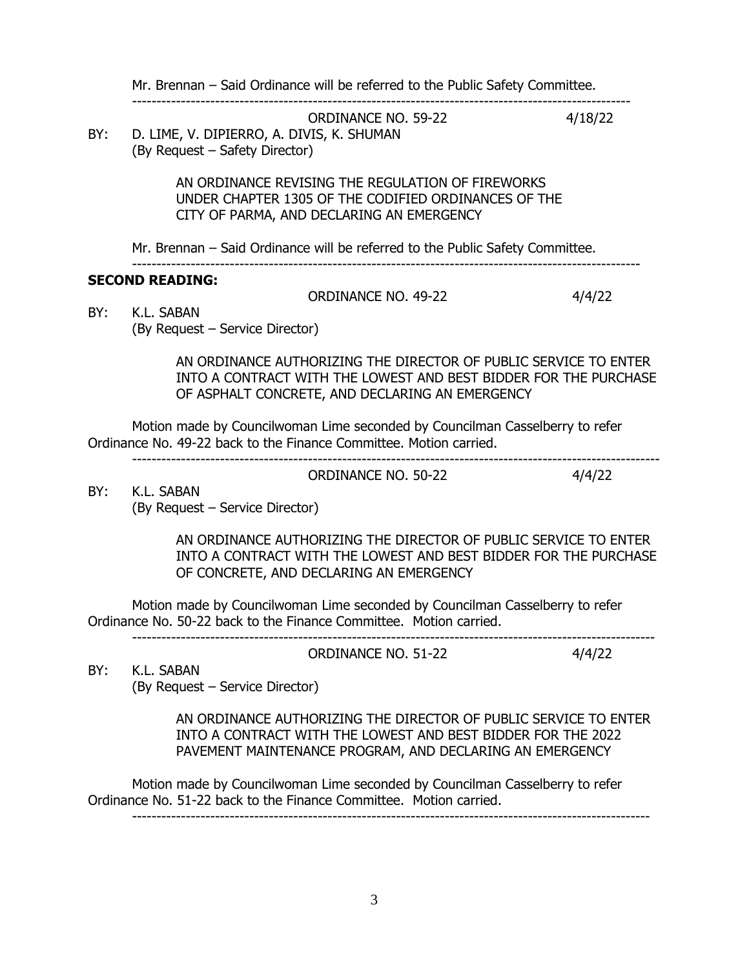Mr. Brennan – Said Ordinance will be referred to the Public Safety Committee.

------------------------------------------------------------------------------------------------------

ORDINANCE NO. 59-22 4/18/22 BY: D. LIME, V. DIPIERRO, A. DIVIS, K. SHUMAN (By Request – Safety Director)

> AN ORDINANCE REVISING THE REGULATION OF FIREWORKS UNDER CHAPTER 1305 OF THE CODIFIED ORDINANCES OF THE CITY OF PARMA, AND DECLARING AN EMERGENCY

Mr. Brennan – Said Ordinance will be referred to the Public Safety Committee.

### -------------------------------------------------------------------------------------------------------- **SECOND READING:**

ORDINANCE NO. 49-22 4/4/22

BY: K.L. SABAN (By Request – Service Director)

> AN ORDINANCE AUTHORIZING THE DIRECTOR OF PUBLIC SERVICE TO ENTER INTO A CONTRACT WITH THE LOWEST AND BEST BIDDER FOR THE PURCHASE OF ASPHALT CONCRETE, AND DECLARING AN EMERGENCY

Motion made by Councilwoman Lime seconded by Councilman Casselberry to refer Ordinance No. 49-22 back to the Finance Committee. Motion carried.

------------------------------------------------------------------------------------------------------------

ORDINANCE NO. 50-22 4/4/22

BY: K.L. SABAN (By Request – Service Director)

> AN ORDINANCE AUTHORIZING THE DIRECTOR OF PUBLIC SERVICE TO ENTER INTO A CONTRACT WITH THE LOWEST AND BEST BIDDER FOR THE PURCHASE OF CONCRETE, AND DECLARING AN EMERGENCY

Motion made by Councilwoman Lime seconded by Councilman Casselberry to refer Ordinance No. 50-22 back to the Finance Committee. Motion carried.

----------------------------------------------------------------------------------------------------------- ORDINANCE NO. 51-22 4/4/22

BY: K.L. SABAN

(By Request – Service Director)

AN ORDINANCE AUTHORIZING THE DIRECTOR OF PUBLIC SERVICE TO ENTER INTO A CONTRACT WITH THE LOWEST AND BEST BIDDER FOR THE 2022 PAVEMENT MAINTENANCE PROGRAM, AND DECLARING AN EMERGENCY

Motion made by Councilwoman Lime seconded by Councilman Casselberry to refer Ordinance No. 51-22 back to the Finance Committee. Motion carried. ----------------------------------------------------------------------------------------------------------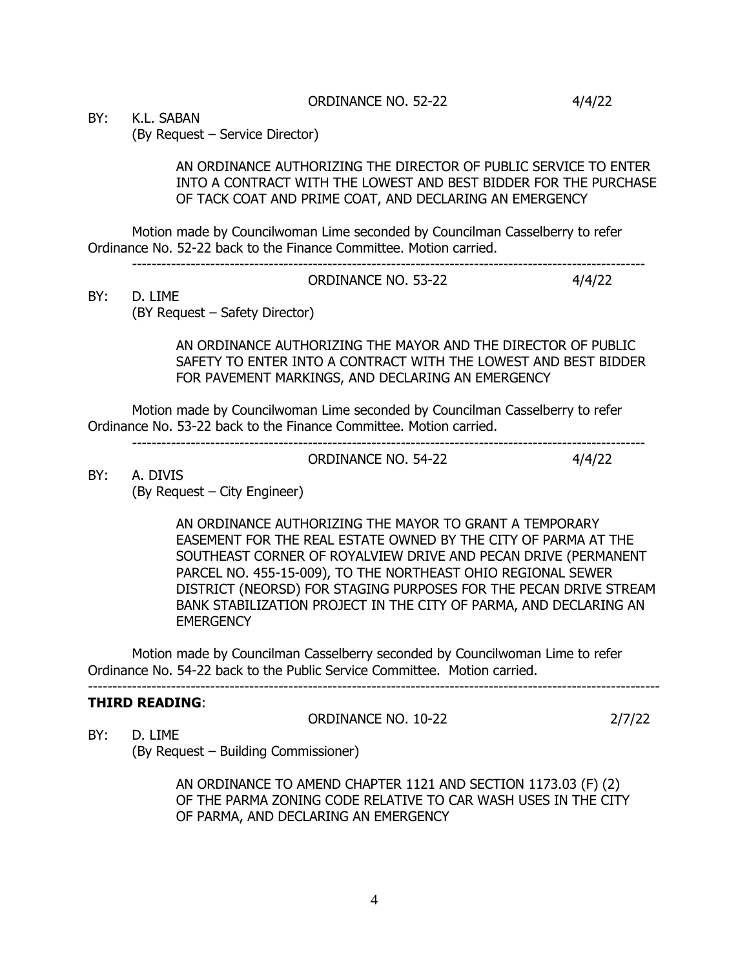ORDINANCE NO. 52-22 4/4/22

BY: K.L. SABAN

(By Request – Service Director)

AN ORDINANCE AUTHORIZING THE DIRECTOR OF PUBLIC SERVICE TO ENTER INTO A CONTRACT WITH THE LOWEST AND BEST BIDDER FOR THE PURCHASE OF TACK COAT AND PRIME COAT, AND DECLARING AN EMERGENCY

Motion made by Councilwoman Lime seconded by Councilman Casselberry to refer Ordinance No. 52-22 back to the Finance Committee. Motion carried.

--------------------------------------------------------------------------------------------------------- ORDINANCE NO. 53-22 4/4/22

# BY: D. LIME

(BY Request – Safety Director)

AN ORDINANCE AUTHORIZING THE MAYOR AND THE DIRECTOR OF PUBLIC SAFETY TO ENTER INTO A CONTRACT WITH THE LOWEST AND BEST BIDDER FOR PAVEMENT MARKINGS, AND DECLARING AN EMERGENCY

Motion made by Councilwoman Lime seconded by Councilman Casselberry to refer Ordinance No. 53-22 back to the Finance Committee. Motion carried.

---------------------------------------------------------------------------------------------------------

ORDINANCE NO. 54-22 4/4/22

BY: A. DIVIS

(By Request – City Engineer)

AN ORDINANCE AUTHORIZING THE MAYOR TO GRANT A TEMPORARY EASEMENT FOR THE REAL ESTATE OWNED BY THE CITY OF PARMA AT THE SOUTHEAST CORNER OF ROYALVIEW DRIVE AND PECAN DRIVE (PERMANENT PARCEL NO. 455-15-009), TO THE NORTHEAST OHIO REGIONAL SEWER DISTRICT (NEORSD) FOR STAGING PURPOSES FOR THE PECAN DRIVE STREAM BANK STABILIZATION PROJECT IN THE CITY OF PARMA, AND DECLARING AN **EMERGENCY** 

Motion made by Councilman Casselberry seconded by Councilwoman Lime to refer Ordinance No. 54-22 back to the Public Service Committee. Motion carried.

---------------------------------------------------------------------------------------------------------------------

# **THIRD READING**:

ORDINANCE NO. 10-22 2/7/22

BY: D. LIME (By Request – Building Commissioner)

> AN ORDINANCE TO AMEND CHAPTER 1121 AND SECTION 1173.03 (F) (2) OF THE PARMA ZONING CODE RELATIVE TO CAR WASH USES IN THE CITY OF PARMA, AND DECLARING AN EMERGENCY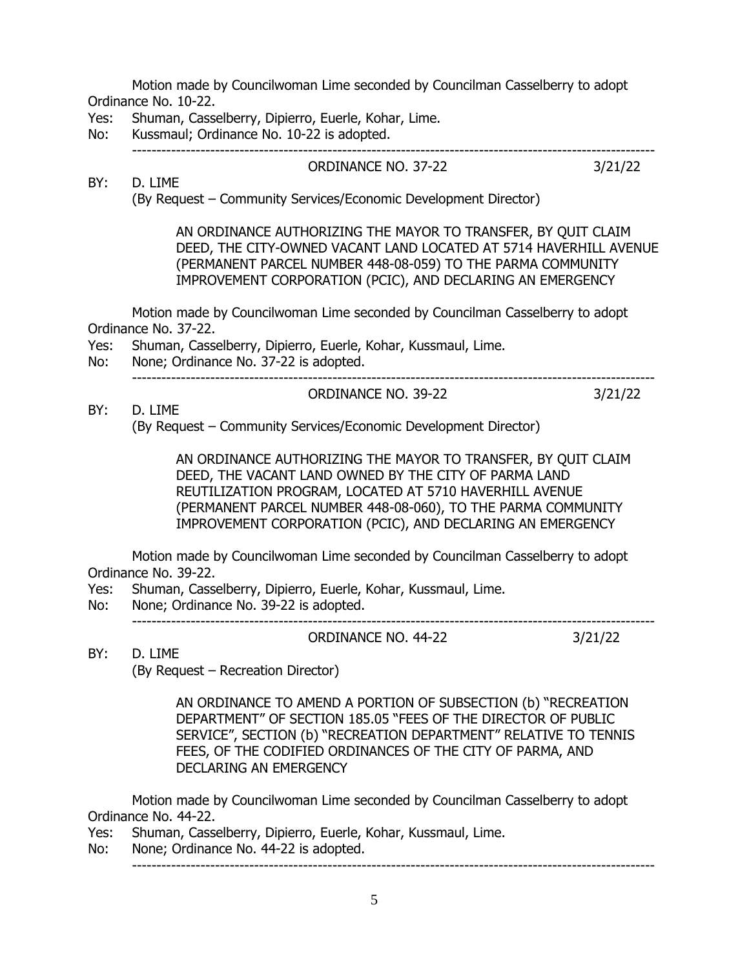Motion made by Councilwoman Lime seconded by Councilman Casselberry to adopt Ordinance No. 10-22.

- Yes: Shuman, Casselberry, Dipierro, Euerle, Kohar, Lime.
- No: Kussmaul; Ordinance No. 10-22 is adopted.

-----------------------------------------------------------------------------------------------------------

BY: D. LIME

ORDINANCE NO. 37-22 3/21/22

(By Request – Community Services/Economic Development Director)

AN ORDINANCE AUTHORIZING THE MAYOR TO TRANSFER, BY QUIT CLAIM DEED, THE CITY-OWNED VACANT LAND LOCATED AT 5714 HAVERHILL AVENUE (PERMANENT PARCEL NUMBER 448-08-059) TO THE PARMA COMMUNITY IMPROVEMENT CORPORATION (PCIC), AND DECLARING AN EMERGENCY

ORDINANCE NO. 39-22 3/21/22

Motion made by Councilwoman Lime seconded by Councilman Casselberry to adopt Ordinance No. 37-22.

- Yes: Shuman, Casselberry, Dipierro, Euerle, Kohar, Kussmaul, Lime.
- No: None; Ordinance No. 37-22 is adopted. -----------------------------------------------------------------------------------------------------------

BY: D. LIME

(By Request – Community Services/Economic Development Director)

AN ORDINANCE AUTHORIZING THE MAYOR TO TRANSFER, BY QUIT CLAIM DEED, THE VACANT LAND OWNED BY THE CITY OF PARMA LAND REUTILIZATION PROGRAM, LOCATED AT 5710 HAVERHILL AVENUE (PERMANENT PARCEL NUMBER 448-08-060), TO THE PARMA COMMUNITY IMPROVEMENT CORPORATION (PCIC), AND DECLARING AN EMERGENCY

Motion made by Councilwoman Lime seconded by Councilman Casselberry to adopt Ordinance No. 39-22.

- Yes: Shuman, Casselberry, Dipierro, Euerle, Kohar, Kussmaul, Lime.
- No: None; Ordinance No. 39-22 is adopted. -----------------------------------------------------------------------------------------------------------

ORDINANCE NO. 44-22 3/21/22

BY: D. LIME

(By Request – Recreation Director)

AN ORDINANCE TO AMEND A PORTION OF SUBSECTION (b) "RECREATION DEPARTMENT" OF SECTION 185.05 "FEES OF THE DIRECTOR OF PUBLIC SERVICE", SECTION (b) "RECREATION DEPARTMENT" RELATIVE TO TENNIS FEES, OF THE CODIFIED ORDINANCES OF THE CITY OF PARMA, AND DECLARING AN EMERGENCY

Motion made by Councilwoman Lime seconded by Councilman Casselberry to adopt Ordinance No. 44-22.

- Yes: Shuman, Casselberry, Dipierro, Euerle, Kohar, Kussmaul, Lime.
- No: None; Ordinance No. 44-22 is adopted.  $-$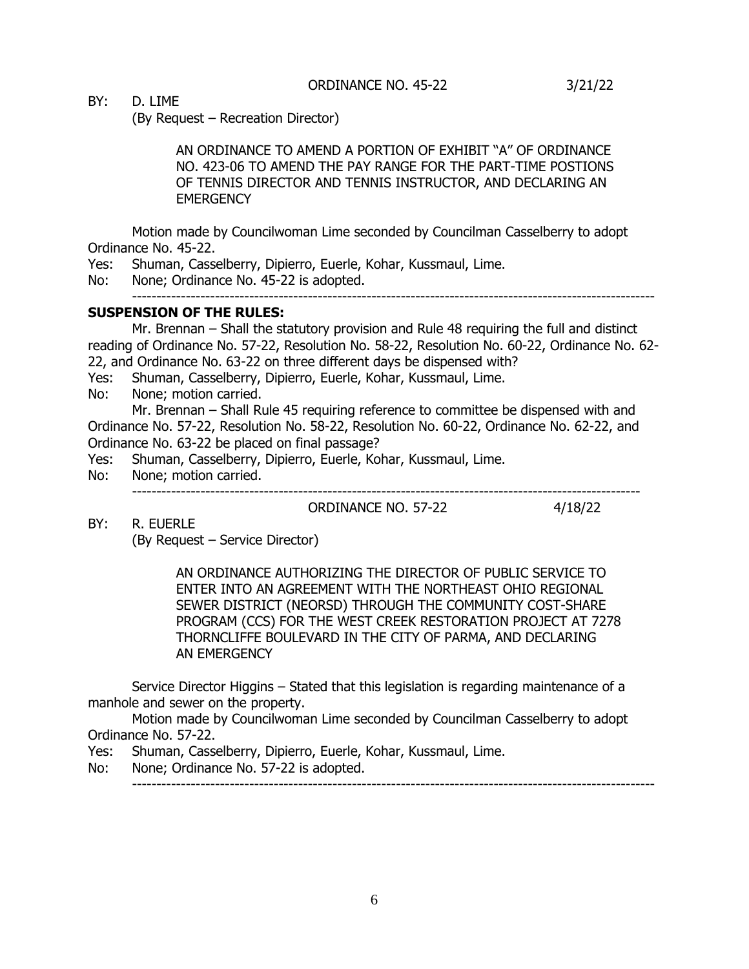BY: D. LIME

(By Request – Recreation Director)

AN ORDINANCE TO AMEND A PORTION OF EXHIBIT "A" OF ORDINANCE NO. 423-06 TO AMEND THE PAY RANGE FOR THE PART-TIME POSTIONS OF TENNIS DIRECTOR AND TENNIS INSTRUCTOR, AND DECLARING AN **EMERGENCY** 

Motion made by Councilwoman Lime seconded by Councilman Casselberry to adopt Ordinance No. 45-22.

Yes: Shuman, Casselberry, Dipierro, Euerle, Kohar, Kussmaul, Lime.

No: None; Ordinance No. 45-22 is adopted.

-----------------------------------------------------------------------------------------------------------

### **SUSPENSION OF THE RULES:**

Mr. Brennan – Shall the statutory provision and Rule 48 requiring the full and distinct reading of Ordinance No. 57-22, Resolution No. 58-22, Resolution No. 60-22, Ordinance No. 62- 22, and Ordinance No. 63-22 on three different days be dispensed with?

Yes: Shuman, Casselberry, Dipierro, Euerle, Kohar, Kussmaul, Lime.

No: None; motion carried.

Mr. Brennan – Shall Rule 45 requiring reference to committee be dispensed with and Ordinance No. 57-22, Resolution No. 58-22, Resolution No. 60-22, Ordinance No. 62-22, and Ordinance No. 63-22 be placed on final passage?

Yes: Shuman, Casselberry, Dipierro, Euerle, Kohar, Kussmaul, Lime.

- No: None; motion carried.
	- --------------------------------------------------------------------------------------------------------

BY: R. EUERLE

ORDINANCE NO. 57-22 4/18/22

(By Request – Service Director)

AN ORDINANCE AUTHORIZING THE DIRECTOR OF PUBLIC SERVICE TO ENTER INTO AN AGREEMENT WITH THE NORTHEAST OHIO REGIONAL SEWER DISTRICT (NEORSD) THROUGH THE COMMUNITY COST-SHARE PROGRAM (CCS) FOR THE WEST CREEK RESTORATION PROJECT AT 7278 THORNCLIFFE BOULEVARD IN THE CITY OF PARMA, AND DECLARING AN EMERGENCY

Service Director Higgins – Stated that this legislation is regarding maintenance of a manhole and sewer on the property.

Motion made by Councilwoman Lime seconded by Councilman Casselberry to adopt Ordinance No. 57-22.

Yes: Shuman, Casselberry, Dipierro, Euerle, Kohar, Kussmaul, Lime.

No: None; Ordinance No. 57-22 is adopted. -----------------------------------------------------------------------------------------------------------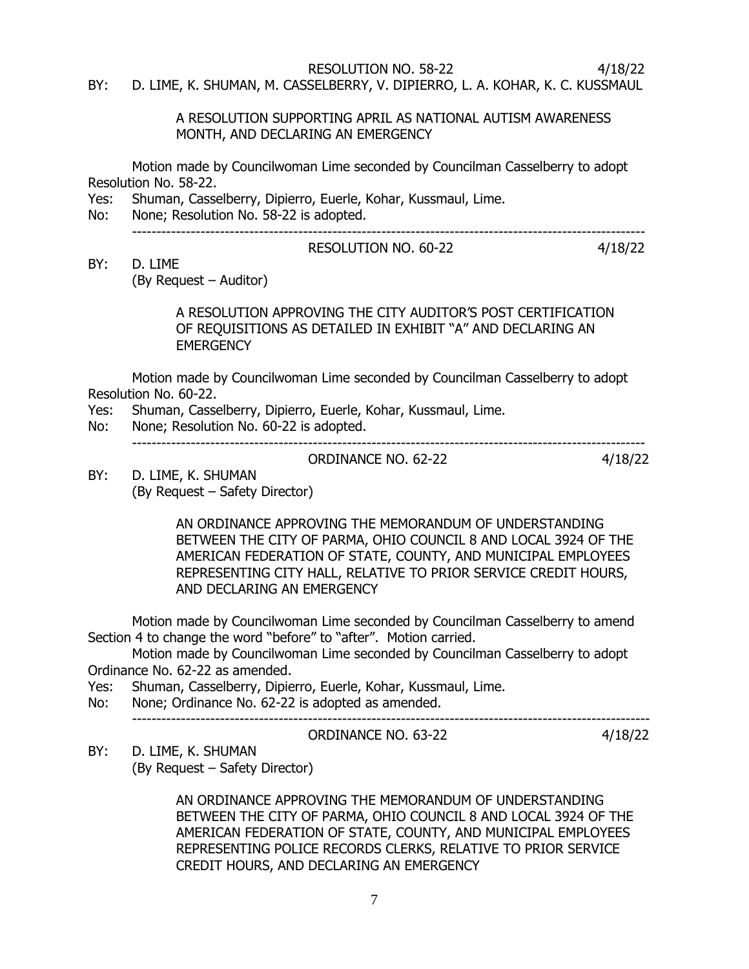RESOLUTION NO. 58-22 4/18/22

BY: D. LIME, K. SHUMAN, M. CASSELBERRY, V. DIPIERRO, L. A. KOHAR, K. C. KUSSMAUL

A RESOLUTION SUPPORTING APRIL AS NATIONAL AUTISM AWARENESS MONTH, AND DECLARING AN EMERGENCY

Motion made by Councilwoman Lime seconded by Councilman Casselberry to adopt Resolution No. 58-22.

- Yes: Shuman, Casselberry, Dipierro, Euerle, Kohar, Kussmaul, Lime.
- No: None; Resolution No. 58-22 is adopted.

# ---------------------------------------------------------------------------------------------------------

### RESOLUTION NO. 60-22 4/18/22

BY: D. LIME

(By Request – Auditor)

A RESOLUTION APPROVING THE CITY AUDITOR'S POST CERTIFICATION OF REQUISITIONS AS DETAILED IN EXHIBIT "A" AND DECLARING AN **EMERGENCY** 

Motion made by Councilwoman Lime seconded by Councilman Casselberry to adopt Resolution No. 60-22.

- Yes: Shuman, Casselberry, Dipierro, Euerle, Kohar, Kussmaul, Lime.
- No: None; Resolution No. 60-22 is adopted.

---------------------------------------------------------------------------------------------------------

ORDINANCE NO. 62-22 4/18/22

BY: D. LIME, K. SHUMAN (By Request – Safety Director)

> AN ORDINANCE APPROVING THE MEMORANDUM OF UNDERSTANDING BETWEEN THE CITY OF PARMA, OHIO COUNCIL 8 AND LOCAL 3924 OF THE AMERICAN FEDERATION OF STATE, COUNTY, AND MUNICIPAL EMPLOYEES REPRESENTING CITY HALL, RELATIVE TO PRIOR SERVICE CREDIT HOURS, AND DECLARING AN EMERGENCY

Motion made by Councilwoman Lime seconded by Councilman Casselberry to amend Section 4 to change the word "before" to "after". Motion carried.

Motion made by Councilwoman Lime seconded by Councilman Casselberry to adopt Ordinance No. 62-22 as amended.

Yes: Shuman, Casselberry, Dipierro, Euerle, Kohar, Kussmaul, Lime.

No: None; Ordinance No. 62-22 is adopted as amended.

----------------------------------------------------------------------------------------------------------

ORDINANCE NO. 63-22 4/18/22

BY: D. LIME, K. SHUMAN (By Request – Safety Director)

> AN ORDINANCE APPROVING THE MEMORANDUM OF UNDERSTANDING BETWEEN THE CITY OF PARMA, OHIO COUNCIL 8 AND LOCAL 3924 OF THE AMERICAN FEDERATION OF STATE, COUNTY, AND MUNICIPAL EMPLOYEES REPRESENTING POLICE RECORDS CLERKS, RELATIVE TO PRIOR SERVICE CREDIT HOURS, AND DECLARING AN EMERGENCY